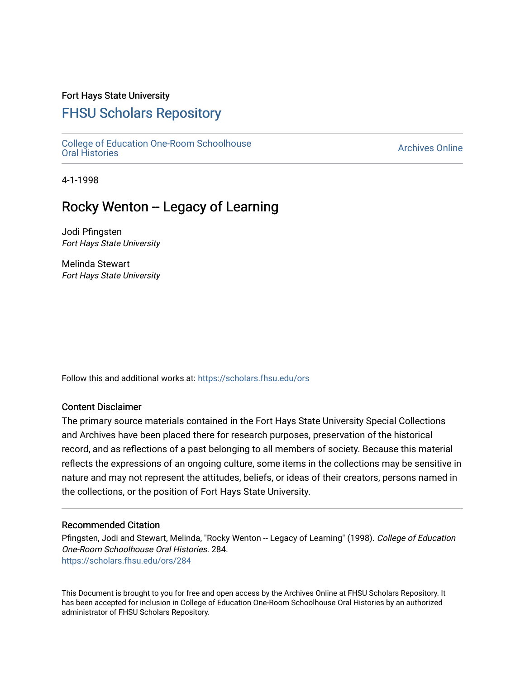## Fort Hays State University

# [FHSU Scholars Repository](https://scholars.fhsu.edu/)

[College of Education One-Room Schoolhouse](https://scholars.fhsu.edu/ors)<br>Oral Histories College of Education Orle-Room Schoolhouse<br>[Oral Histories](https://scholars.fhsu.edu/ors) Archives Online

4-1-1998

# Rocky Wenton -- Legacy of Learning

Jodi Pfingsten Fort Hays State University

Melinda Stewart Fort Hays State University

Follow this and additional works at: [https://scholars.fhsu.edu/ors](https://scholars.fhsu.edu/ors?utm_source=scholars.fhsu.edu%2Fors%2F284&utm_medium=PDF&utm_campaign=PDFCoverPages) 

### Content Disclaimer

The primary source materials contained in the Fort Hays State University Special Collections and Archives have been placed there for research purposes, preservation of the historical record, and as reflections of a past belonging to all members of society. Because this material reflects the expressions of an ongoing culture, some items in the collections may be sensitive in nature and may not represent the attitudes, beliefs, or ideas of their creators, persons named in the collections, or the position of Fort Hays State University.

### Recommended Citation

Pfingsten, Jodi and Stewart, Melinda, "Rocky Wenton -- Legacy of Learning" (1998). College of Education One-Room Schoolhouse Oral Histories. 284. [https://scholars.fhsu.edu/ors/284](https://scholars.fhsu.edu/ors/284?utm_source=scholars.fhsu.edu%2Fors%2F284&utm_medium=PDF&utm_campaign=PDFCoverPages) 

This Document is brought to you for free and open access by the Archives Online at FHSU Scholars Repository. It has been accepted for inclusion in College of Education One-Room Schoolhouse Oral Histories by an authorized administrator of FHSU Scholars Repository.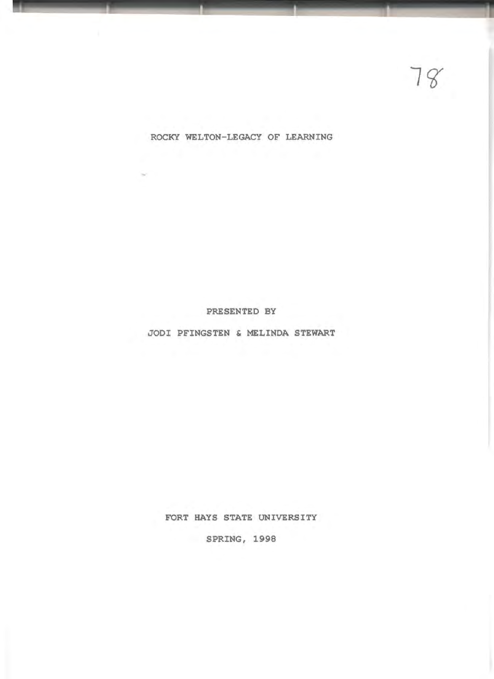FORT HAYS STATE UNIVERSITY

SPRING, 1998

JODI PFINGSTEN & MELINDA STEWART

PRESENTED BY

ROCKY WELTON-LEGACY OF LEARNING

÷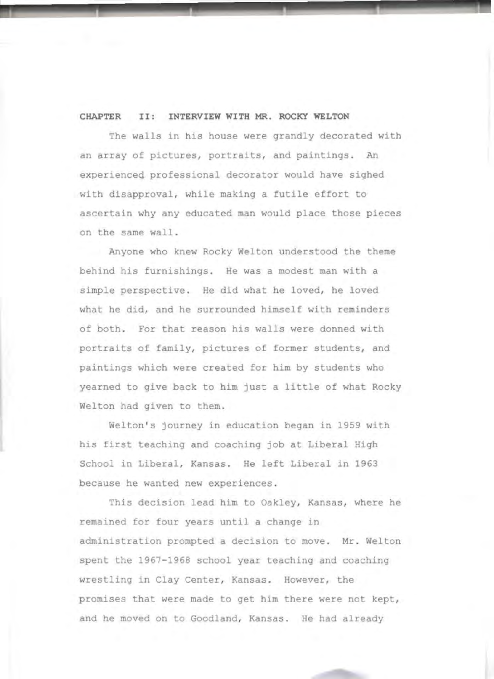### **CHAPTER** II: **INTERVIEW WITH MR. ROCKY WELTON**

The walls in his house were grandly decorated with an array of pictures, portraits, and paintings. An experienced professional decorator would have sighed with disapproval, while making a futile effort to ascertain why any educated man would place those pieces on the same wall.

Anyone who knew Rocky Welton understood the theme behind his furnishings. He was a modest man with a simple perspective. He did what he loved, he loved what he did, and he surrounded himself with reminders of both. For that reason his walls were donned with portraits of family, pictures of former students, and paintings which were created for him by students who yearned to give back to him just a little of what Rocky Welton had given to them.

Welton's journey in education began in 1959 with his first teaching and coaching job at Liberal High School in Liberal, Kansas. He left Liberal in 1963 because he wanted new experiences .

This decision lead him to Oakley, Kansas, where he remained for four years until a change in administration prompted a decision to move. Mr. Welton spent the 1967-1968 school year teaching and coaching wrestling in Clay Center, Kansas. However, the promises that were made to get him there were not kept, and he moved on to Goodland, Kansas. He had already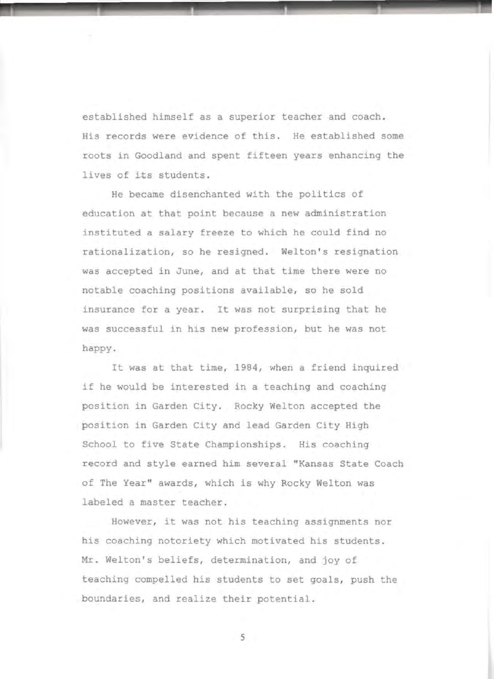established himself as a superior teacher and coach. His records were evidence of this. He established some roots in Goodland and spent fifteen years enhancing the lives of its students.

He became disenchanted with the politics of education at that point because a new administration instituted a salary freeze to which he could find no rationalization, so he resigned. Welton's resignation was accepted in June, and at that time there were no notable coaching positions available, so he sold insurance for a year. It was not surprising that he was successful in his new profession, but he was not happy.

It was at that time, 1984, when a friend inquired if he would be interested in a teaching and coaching position in Garden City. Rocky Welton accepted the position in Garden City and lead Garden City High School to five State Championships. His coaching record and style earned him several "Kansas State Coach of The Year" awards, which is why Rocky Welton was labeled a master teacher.

However, it was not his teaching assignments nor his coaching notoriety which motivated his students. Mr. Welton's beliefs, determination, and joy of teaching compelled his students to set goals, push the boundaries, and realize their potential.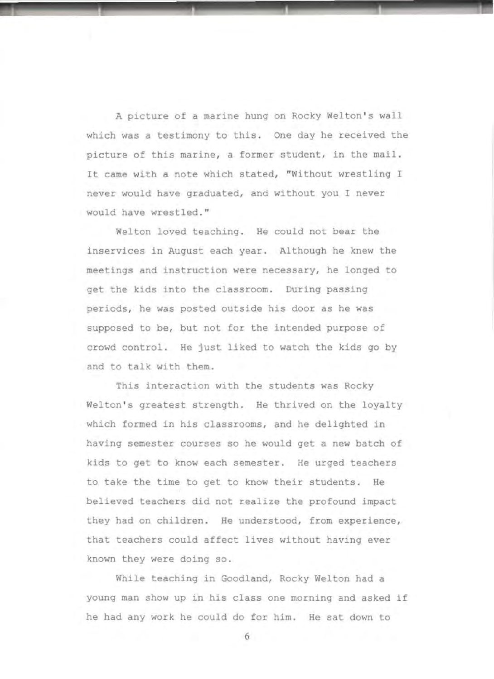A picture of a marine hung on Rocky Welton's wall which **was a** testimony to this. One day he received the picture of this marine, a former student, in the mail. It came with a note which stated, "Without wrestling I never would have graduated, and without you I never would have wrestled."

Welton loved teaching. He could not bear the inservices in August each year. Although he knew the meetings and instruction were necessary, he longed to get the kids into the classroom. During passing periods, he was posted outside his door as he was supposed to be, but not for the intended purpose of crowd control. He just liked to watch the kids go by and to talk with them.

This interaction with the students was Rocky Welton's greatest strength. He thrived on the loyalty which formed in his classrooms, and he delighted in having semester courses so he would get a new batch of kids to get to know each semester. He urged teachers to take the time to get to know their students . He believed teachers did not realize the profound impact they had on children. He understood, from experience, that teachers could affect lives without having ever known they were doing so.

While teaching in Goodland, Rocky Welton had a young man show up in his class one morning and asked if he had any work he could do for him. He sat down to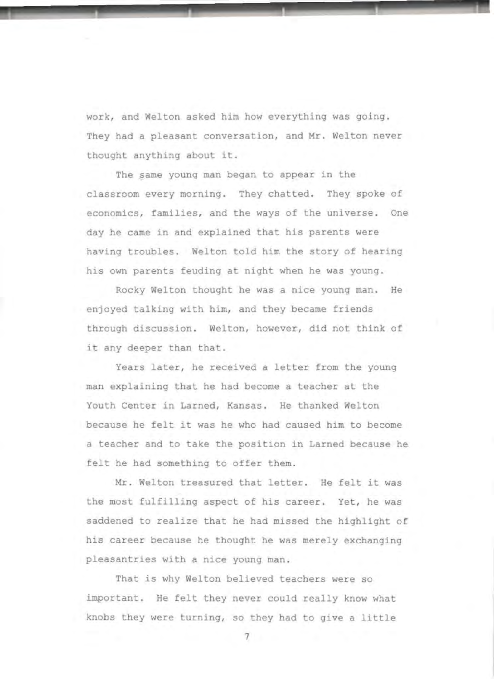work, and Welton asked him how everything was going. They had a pleasant conversation, and Mr. Welton never thought anything about it .

The same young man began to appear in the classroom every morning. They chatted. They spoke of economics, families, and the ways of the universe. One day he came in and explained that his parents were having troubles. Welton told him the story of hearing his own parents feuding at night when he was young .

Rocky Welton thought he was a nice young man. He enjoyed talking with him, and they became friends through discussion. Welton, however, did not think of it any deeper than that.

Years later, he received a letter from the young man explaining that he had become a teacher at the Youth Center in Larned, Kansas. He thanked Welton because he felt it was he who had caused him to become a teacher and to take the position in Larned because he felt he had something to offer them.

Mr. Welton treasured that letter. He felt it was the most fulfilling aspect of his career. Yet, he was saddened to realize that he had missed the highlight of his career because he thought he was merely exchanging pleasantries with a nice young man .

That is why Welton believed teachers were so important. He felt they never could really know what knobs they were turning, so they had to give a little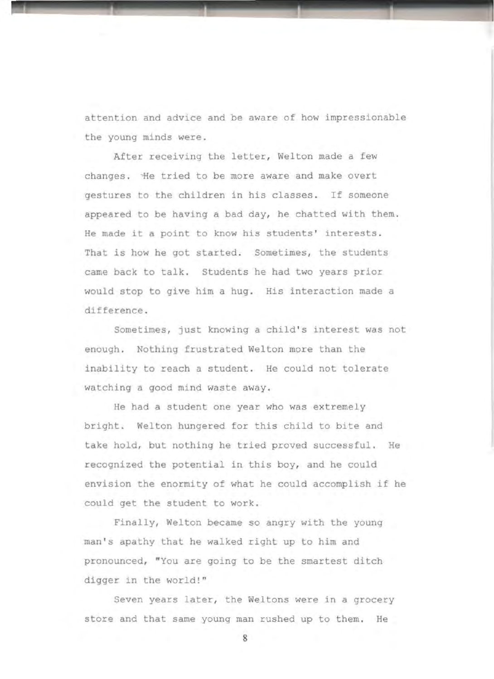attention and advice and be aware of how impressionable the young minds were .

After receiving the letter, Welton made a few changes. He tried to be more aware and make overt gestures to the children in his classes . If someone appeared to be having a bad day, he chatted with them. He made it a point to know his students' interests. That is how he got started. Sometimes, the students came back to talk. Students he had two years prior would stop to give him a hug. His interaction made a difference .

Sometimes, just knowing a child's interest was not enough. Nothing frustrated Welton more than the inability to reach a student. He could not tolerate watching a good mind waste away .

He had a student one year who was extremely bright. Welton hungered for this child to bite and take hold, but nothing he tried proved successful. He recognized the potential in this boy, and he could envision the enormity of what he could accomplish if he could get the student to work.

Finally, Welton became so angry with the young man's apathy that he walked right up to him and pronounced, "You are going to be the smartest ditch digger in the world!"

Seven years later, the Weltons were in a grocery store and that same young man rushed up to them. He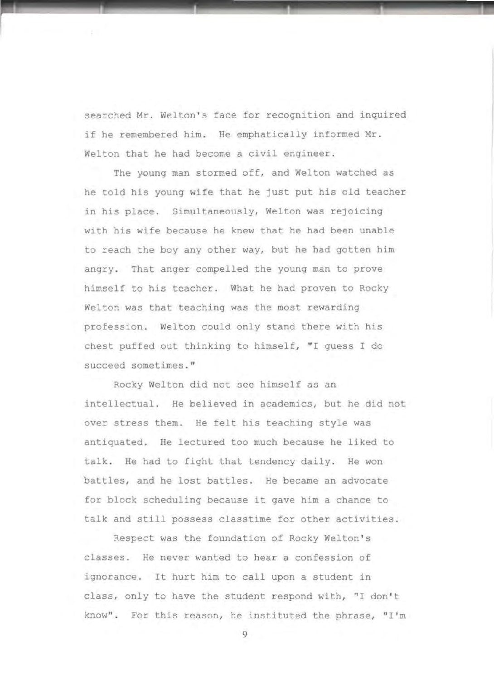searched Mr. Welton's face for recognition and inquired if he remembered him. He emphatically informed Mr . Welton that he had become a civil engineer.

The young man stormed off, and Welton watched as he told his young wife that he just put his old teacher in his place. Simultaneously, Welton was rejoicing with his wife because he knew that he had been unable to reach the boy any other way, but he had gotten him angry. That anger compelled the young man to prove himself to his teacher. What he had proven to Rocky Welton was that teaching was the most rewarding profession. Welton could only stand there with his chest puffed out thinking to himself, "I quess I do succeed sometimes."

Rocky Welton did not see himself as an intellectual. He believed in academics, but he did not over stress them. He felt his teaching style was antiquated. He lectured too much because he liked to talk. He had to fight that tendency daily. He won battles, and he lost battles. He became an advocate for block scheduling because it gave him a chance to talk and still possess classtime for other activities.

Respect was the foundation of Rocky Welton's classes. He never wanted to hear a confession of ignorance. It hurt him to call upon a student in class, only to have the student respond with, "I don't know". For this reason, he instituted the phrase, "I'm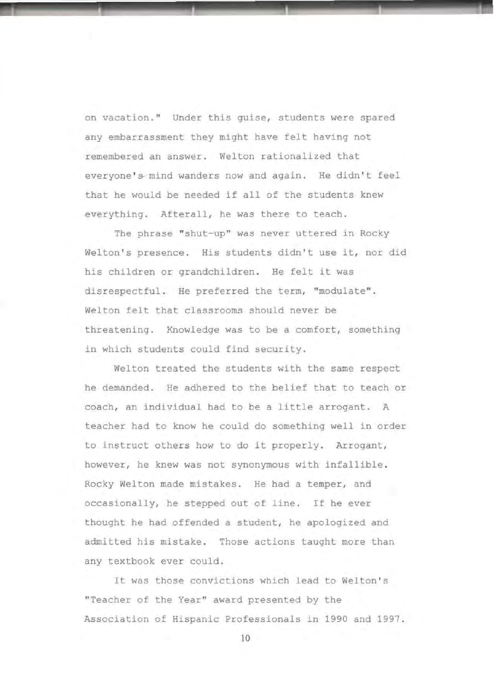on vacation ." Under this guise, students were spared any embarrassment they might have felt having not remembered an answer. Welton rationalized that everyone's mind wanders now and again. He didn't feel that he would be needed if all of the students knew everything. Afterall, he was there to teach.

The phrase "shut-up" was never uttered in Rocky Welton's presence. His students didn't use it, nor did his children or grandchildren. He felt it was disrespectful. He preferred the term, "modulate". Welton felt that classrooms should never be threatening. Knowledge was to be a comfort, something in which students could find security.

Welton treated the students with the same respect he demanded. He adhered to the belief that to teach or coach, an individual had to be a little arrogant. A teacher had to know he could do something well in order to instruct others how to do it properly. Arrogant, however, he knew was not synonymous with infallible . Rocky Welton made mistakes. He had a temper, and occasionally, he stepped out of line. If he ever thought he had offended a student, he apologized and admitted his mistake. Those actions taught more than any textbook ever could.

It was those convictions which lead to Welton's "Teacher of the Year" award presented by the Association of Hispanic Professionals in 1990 and 1997 .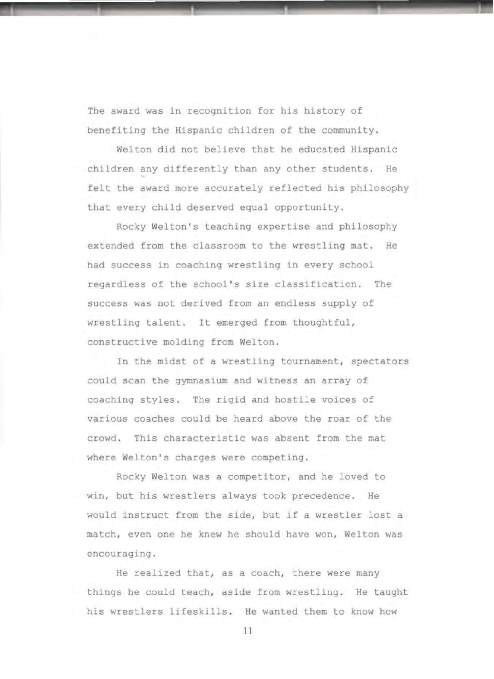The award was in recognition for his history of benefiting the Hispanic children of the community .

Welton did not believe that he educated Hispanic children any differently than any other students. He felt the award more accurately reflected his philosophy that every child deserved equal opportunity.

.\_\_\_\_.\_\_\_\_\_\_.\_\_\_\_\_\_.\_\_\_\_\_ J -

Rocky Welton's teaching expertise and philosophy extended from the classroom to the wrestling mat. He had success in coaching wrestling in every school regardless of the school's size classification. The success was not derived from an endless supply of wrestling talent. It emerged from thoughtful, constructive molding from Welton .

In the midst of a wrestling tournament, spectators could scan the gymnasium and witness an array of coaching styles. The rigid and hostile voices of various coaches could be heard above the roar of the crowd . This characteristic was absent from the mat where Welton's charges were competing.

Rocky Welton was a competitor, and he loved to win, but his wrestlers always took precedence. He would instruct from the side, but if a wrestler lost a match, even one he knew he should have won, Welton was encouraging .

He realized that, as a coach, there were many things he could teach, aside from wrestling. He taught his wrestlers lifeskills. He wanted them to know how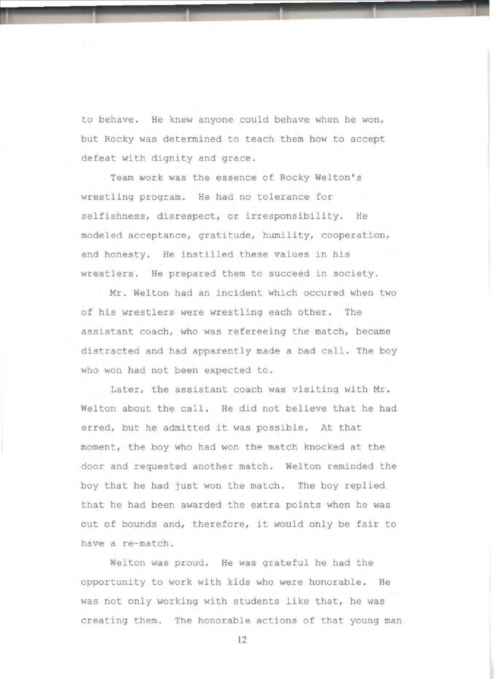to behave. He knew anyone could behave when he won, but Rocky was determined to teach them how to accept defeat with dignity and grace.

Team work was the essence of Rocky Welton's wrestling program. He had no tolerance for selfishness, disrespect, or irresponsibility. He modeled acceptance, gratitude, humility, cooperation, and honesty. He instilled these values in his wrestlers. He prepared them to succeed in society.

Mr. Welton had an incident which occured when two of his wrestlers were wrestling each other. The assistant coach, who was refereeing the match, became distracted and had apparently made a bad call. The boy who won had not been expected to.

Later, the assistant coach was visiting with Mr . Welton about the call. He did not believe that he had erred, but he admitted it was possible. At that moment, the boy who had won the match knocked at the door and requested another match. Welton reminded the boy that he had just won the match. The boy replied that he had been awarded the extra points when he was out of bounds and, therefore, it would only be fair to have a re-match.

Welton was proud. He was grateful he had the opportunity to work with kids who were honorable. He was not only working with students like that, he was creating them. The honorable actions of that young man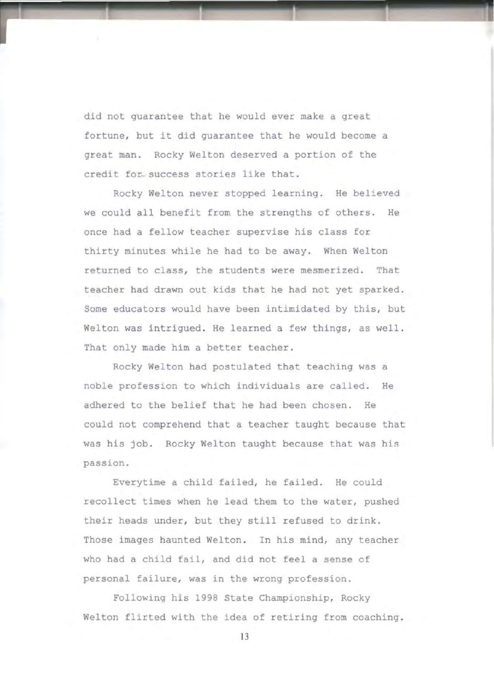did not guarantee that he would ever make a great fortune, but it did guarantee that he would become a great man. Rocky Welton deserved a portion of the credit for success stories like that .

Rocky Welton never stopped learning. He believed we could all benefit from the strengths of others. He once had a fellow teacher supervise his class for thirty minutes while he had to be away. When Welton returned to class, the students were mesmerized. That teacher had drawn out kids that he had not yet sparked . Some educators would have been intimidated by this, but Welton was intrigued. He learned a few things, as well. That only made him a better teacher.

Rocky Welton had postulated that teaching was a noble profession to which individuals are called. He adhered to the belief that he had been chosen. He could not comprehend that a teacher taught because that was his job. Rocky Welton taught because that was his passion .

Everytime a child failed, he failed. He could recollect times when he lead them to the water, pushed their heads under, but they still refused to drink. Those images haunted Welton. In his mind, any teacher who had a child fail, and did not feel a sense of personal failure, was in the wrong profession.

Following his 1998 State Championship, Rocky Welton flirted with the idea of retiring from coaching.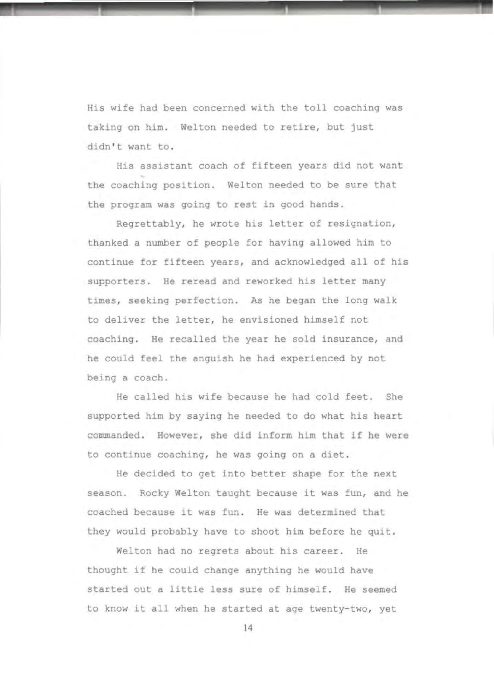His wife had been concerned with the toll coaching was taking on him. Welton needed to retire, but just didn't want to.

.\_\_\_......\_\_..,\_\_\_\_..\_\_\_\_\_\_\_\_\_,. \_ ...

His assistant coach of fifteen years did not want the coaching position. Welton needed to be sure that the program was going to rest in good hands.

Regrettably, he wrote his letter of resignation, thanked a number of people for having allowed him to continue for fifteen years, and acknowledged all of his supporters. He reread and reworked his letter many times, seeking perfection. As he began the long walk to deliver the letter, he envisioned himself not coaching. He recalled the year he sold insurance, and he could feel the anguish he had experienced by not being a coach.

He called his wife because he had cold feet. She supported him by saying he needed to do what his heart commanded. However, she did inform him that if he were to continue coaching, he was going on a diet.

He decided to get into better shape for the next season. Rocky Welton taught because it was fun, and he coached because it was fun. He was determined that they would probably have to shoot him before he quit.

Welton had no regrets about his career. He thought if he could change anything he would have started out a little less sure of himself. He seemed to know it all when he started at age twenty-two, yet